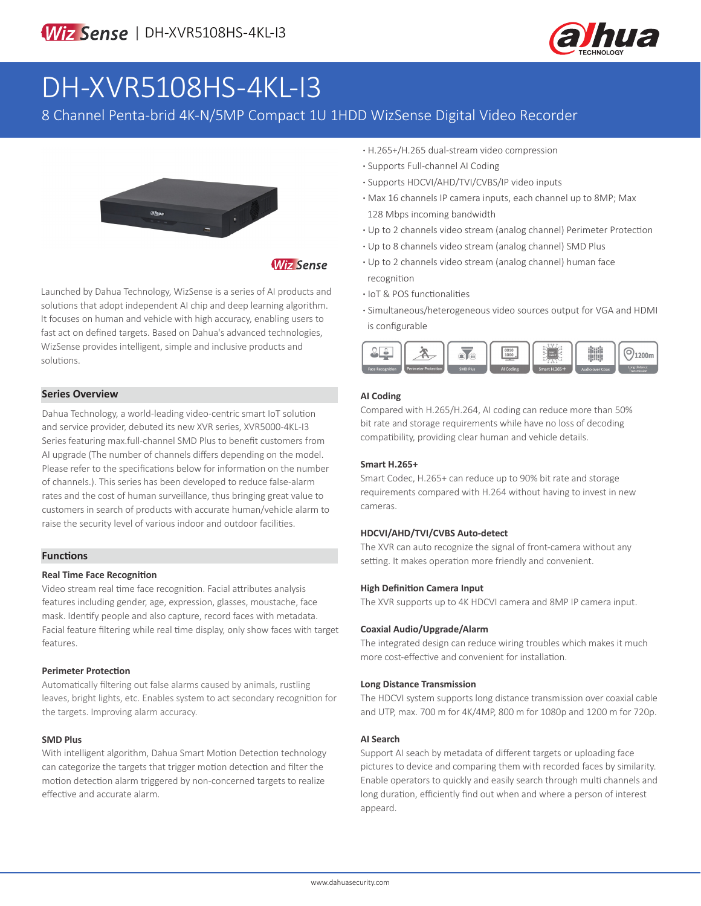

# DH-XVR5108HS-4KL-I3

### 8 Channel Penta-brid 4K-N/5MP Compact 1U 1HDD WizSense Digital Video Recorder



#### **Wiz Sense**

Launched by Dahua Technology, WizSense is a series of AI products and solutions that adopt independent AI chip and deep learning algorithm. It focuses on human and vehicle with high accuracy, enabling users to fast act on defined targets. Based on Dahua's advanced technologies, WizSense provides intelligent, simple and inclusive products and solutions.

#### **Series Overview**

Dahua Technology, a world-leading video-centric smart IoT solution and service provider, debuted its new XVR series, XVR5000-4KL-I3 Series featuring max.full-channel SMD Plus to benefit customers from AI upgrade (The number of channels differs depending on the model. Please refer to the specifications below for information on the number of channels.). This series has been developed to reduce false-alarm rates and the cost of human surveillance, thus bringing great value to customers in search of products with accurate human/vehicle alarm to raise the security level of various indoor and outdoor facilities.

#### **Functions**

#### **Real Time Face Recognition**

Video stream real time face recognition. Facial attributes analysis features including gender, age, expression, glasses, moustache, face mask. Identify people and also capture, record faces with metadata. Facial feature filtering while real time display, only show faces with target features.

#### **Perimeter Protection**

Automatically filtering out false alarms caused by animals, rustling leaves, bright lights, etc. Enables system to act secondary recognition for the targets. Improving alarm accuracy.

#### **SMD Plus**

With intelligent algorithm, Dahua Smart Motion Detection technology can categorize the targets that trigger motion detection and filter the motion detection alarm triggered by non-concerned targets to realize effective and accurate alarm.

- **·** H.265+/H.265 dual-stream video compression
- **·** Supports Full-channel AI Coding
- **·** Supports HDCVI/AHD/TVI/CVBS/IP video inputs
- **·** Max 16 channels IP camera inputs, each channel up to 8MP; Max 128 Mbps incoming bandwidth
- **·** Up to 2 channels video stream (analog channel) Perimeter Protection
- **·** Up to 8 channels video stream (analog channel) SMD Plus
- **·** Up to 2 channels video stream (analog channel) human face recognition
- **·** IoT & POS functionalities
- **·** Simultaneous/heterogeneous video sources output for VGA and HDMI is configurable



#### **AI Coding**

Compared with H.265/H.264, AI coding can reduce more than 50% bit rate and storage requirements while have no loss of decoding compatibility, providing clear human and vehicle details.

#### **Smart H.265+**

Smart Codec, H.265+ can reduce up to 90% bit rate and storage requirements compared with H.264 without having to invest in new cameras.

#### **HDCVI/AHD/TVI/CVBS Auto-detect**

The XVR can auto recognize the signal of front-camera without any setting. It makes operation more friendly and convenient.

#### **High Definition Camera Input**

The XVR supports up to 4K HDCVI camera and 8MP IP camera input.

#### **Coaxial Audio/Upgrade/Alarm**

The integrated design can reduce wiring troubles which makes it much more cost-effective and convenient for installation.

#### **Long Distance Transmission**

The HDCVI system supports long distance transmission over coaxial cable and UTP, max. 700 m for 4K/4MP, 800 m for 1080p and 1200 m for 720p.

#### **AI Search**

Support AI seach by metadata of different targets or uploading face pictures to device and comparing them with recorded faces by similarity. Enable operators to quickly and easily search through multi channels and long duration, efficiently find out when and where a person of interest appeard.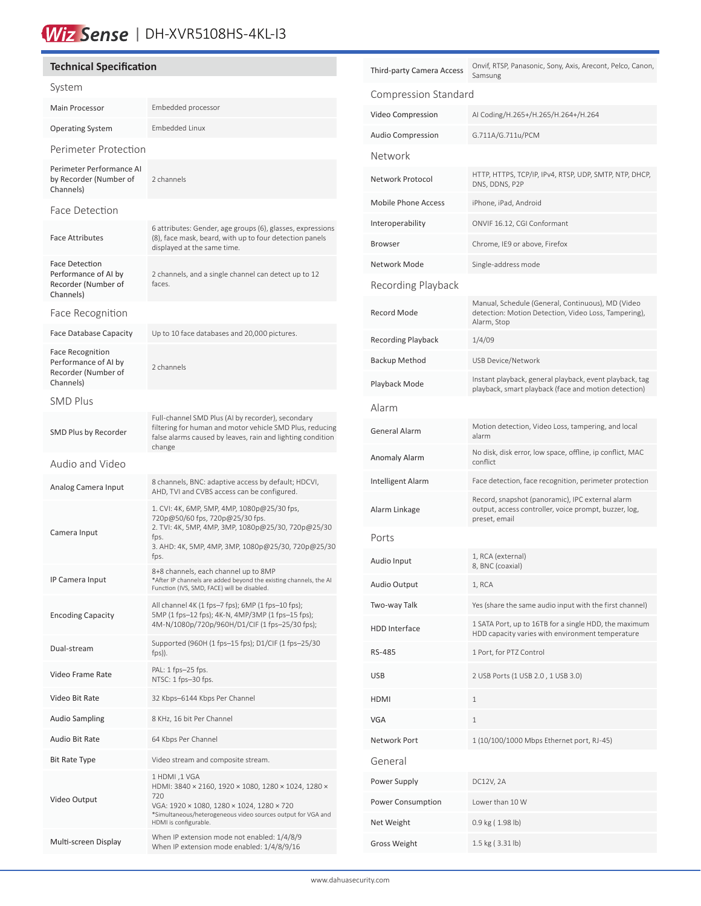## Wiz Sense | DH-XVR5108HS-4KL-13

#### **Technical Specification** System Main Processor **Embedded processor** Operating System Embedded Linux Perimeter Protection Perimeter Performance AI by Recorder (Number of Channels) 2 channels Face Detection Face Attributes 6 attributes: Gender, age groups (6), glasses, expressions (8), face mask, beard, with up to four detection panels displayed at the same time. Face Detection Performance of AI by Recorder (Number of Channels) 2 channels, and a single channel can detect up to 12 faces. Face Recognition Face Database Capacity Up to 10 face databases and 20,000 pictures. Face Recognition Performance of AI by Recorder (Number of Channels) 2 channels SMD Plus SMD Plus by Recorder Full-channel SMD Plus (AI by recorder), secondary filtering for human and motor vehicle SMD Plus, reducing false alarms caused by leaves, rain and lighting condition change Audio and Video Analog Camera Input 8 channels, BNC: adaptive access by default; HDCVI, AHD, TVI and CVBS access can be configured. Camera Input 1. CVI: 4K, 6MP, 5MP, 4MP, 1080p@25/30 fps, 720p@50/60 fps, 720p@25/30 fps. 2. TVI: 4K, 5MP, 4MP, 3MP, 1080p@25/30, 720p@25/30 fps. 3. AHD: 4K, 5MP, 4MP, 3MP, 1080p@25/30, 720p@25/30 fps. IP Camera Input 8+8 channels, each channel up to 8MP \*After IP channels are added beyond the existing channels, the AI Function (IVS, SMD, FACE) will be disabled. Encoding Capacity All channel 4K (1 fps–7 fps); 6MP (1 fps–10 fps); 5MP (1 fps–12 fps); 4K-N, 4MP/3MP (1 fps–15 fps); 4M-N/1080p/720p/960H/D1/CIF (1 fps–25/30 fps); Dual-stream Supported (960H (1 fps–15 fps); D1/CIF (1 fps–25/30 fps)). Video Frame Rate PAL: 1 fps–25 fps. NTSC: 1 fps–30 fps. Video Bit Rate 32 Kbps–6144 Kbps Per Channel Audio Sampling 8 KHz, 16 bit Per Channel Audio Bit Rate 64 Kbps Per Channel Bit Rate Type Video stream and composite stream. Video Output 1 HDMI ,1 VGA HDMI: 3840 × 2160, 1920 × 1080, 1280 × 1024, 1280 × 720 VGA: 1920 × 1080, 1280 × 1024, 1280 × 720 \*Simultaneous/heterogeneous video sources output for VGA and HDMI is configurable. Multi-screen Display When IP extension mode not enabled: 1/4/8/9 When IP extension mode enabled: 1/4/8/9/16

| Third-party Camera Access  | Onvif, RTSP, Panasonic, Sony, Axis, Arecont, Pelco, Canon,<br>Samsung                                                      |  |  |  |
|----------------------------|----------------------------------------------------------------------------------------------------------------------------|--|--|--|
| Compression Standard       |                                                                                                                            |  |  |  |
| Video Compression          | AI Coding/H.265+/H.265/H.264+/H.264                                                                                        |  |  |  |
| Audio Compression          | G.711A/G.711u/PCM                                                                                                          |  |  |  |
| Network                    |                                                                                                                            |  |  |  |
| Network Protocol           | HTTP, HTTPS, TCP/IP, IPv4, RTSP, UDP, SMTP, NTP, DHCP,<br>DNS, DDNS, P2P                                                   |  |  |  |
| <b>Mobile Phone Access</b> | iPhone, iPad, Android                                                                                                      |  |  |  |
| Interoperability           | ONVIF 16.12, CGI Conformant                                                                                                |  |  |  |
| Browser                    | Chrome, IE9 or above, Firefox                                                                                              |  |  |  |
| Network Mode               | Single-address mode                                                                                                        |  |  |  |
| Recording Playback         |                                                                                                                            |  |  |  |
| <b>Record Mode</b>         | Manual, Schedule (General, Continuous), MD (Video<br>detection: Motion Detection, Video Loss, Tampering),<br>Alarm, Stop   |  |  |  |
| Recording Playback         | 1/4/09                                                                                                                     |  |  |  |
| Backup Method              | <b>USB Device/Network</b>                                                                                                  |  |  |  |
| Playback Mode              | Instant playback, general playback, event playback, tag<br>playback, smart playback (face and motion detection)            |  |  |  |
| Alarm                      |                                                                                                                            |  |  |  |
| General Alarm              | Motion detection, Video Loss, tampering, and local<br>alarm                                                                |  |  |  |
| Anomaly Alarm              | No disk, disk error, low space, offline, ip conflict, MAC<br>conflict                                                      |  |  |  |
| Intelligent Alarm          | Face detection, face recognition, perimeter protection                                                                     |  |  |  |
| Alarm Linkage              | Record, snapshot (panoramic), IPC external alarm<br>output, access controller, voice prompt, buzzer, log,<br>preset, email |  |  |  |
| Ports                      |                                                                                                                            |  |  |  |
| Audio Input                | 1, RCA (external)<br>8, BNC (coaxial)                                                                                      |  |  |  |
| Audio Output               | 1, RCA                                                                                                                     |  |  |  |
| Two-way Talk               | Yes (share the same audio input with the first channel)                                                                    |  |  |  |
| HDD Interface              | 1 SATA Port, up to 16TB for a single HDD, the maximum<br>HDD capacity varies with environment temperature                  |  |  |  |
| RS-485                     | 1 Port, for PTZ Control                                                                                                    |  |  |  |
| USB                        | 2 USB Ports (1 USB 2.0, 1 USB 3.0)                                                                                         |  |  |  |
| HDMI                       | 1                                                                                                                          |  |  |  |
| VGA                        | 1                                                                                                                          |  |  |  |
| Network Port               | 1 (10/100/1000 Mbps Ethernet port, RJ-45)                                                                                  |  |  |  |
| General                    |                                                                                                                            |  |  |  |
| Power Supply               | DC12V, 2A                                                                                                                  |  |  |  |
| Power Consumption          | Lower than 10 W                                                                                                            |  |  |  |
| Net Weight                 | 0.9 kg (1.98 lb)                                                                                                           |  |  |  |
| Gross Weight               | 1.5 kg (3.31 lb)                                                                                                           |  |  |  |